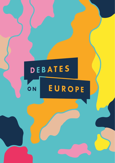## DEBATES EUROPE ON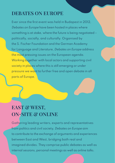## **DEBATES ON EUROPE**

Ever since the first event was held in Budapest in 2012, Debates on Europe have been hosted in places where something is at stake, where the future is being negotiated – politically, socially, and culturally. Organised by the S. Fischer Foundation and the German Academy for Language and Literature, Debates on Europe address the most pressing issues on the European agenda. Working together with local actors and supporting civil society in places where this is still emerging or under pressure we want to further free and open debate in all parts of Europe.

## **EAST & WEST, ON-SITE & ONLINE**

Gathering leading writers, experts and representatives from politics and civil society, Debates on Europe aim to contribute to the exchange of arguments and experiences between East and West, bridging both real and imagined divides. They comprise public debates as well as internal sessions, personal meetings as well as online talks.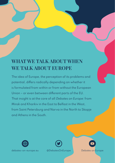## **WHAT WE TALK ABOUT WHEN WE TALK ABOUT EUROPE**

The idea of Europe, the perception of its problems and potential, differs radically depending on whether it is formulated from within or from without the European Union – or even between different parts of the EU. That insight is at the core of all Debates on Europe: from Minsk and Kharkiv in the East to Belfast in the West, from Saint Petersburg and Narva in the North to Skopje and Athens in the South.